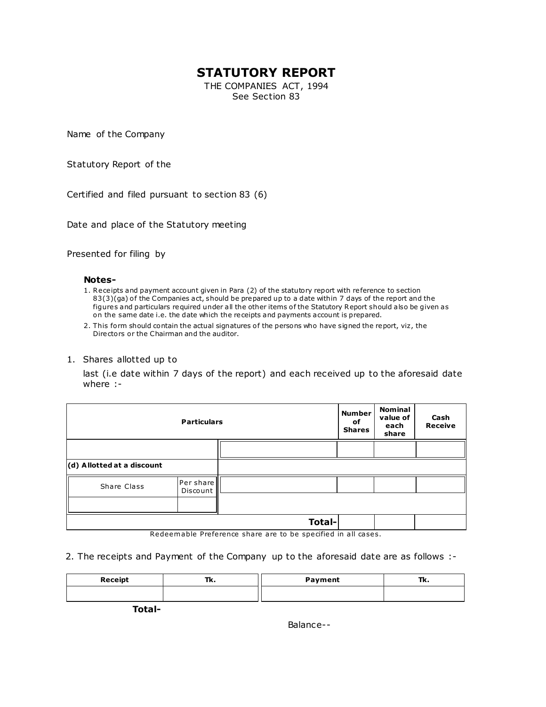# **STATUTORY REPORT**

THE COMPANIES ACT, 1994 See Section 83

Name of the Company

Statutory Report of the

Certified and filed pursuant to section 83 (6)

Date and place of the Statutory meeting

Presented for filing by

#### **Notes-**

- 1. Receipts and payment account given in Para (2) of the statutory report with re ference to section 83(3)(ga) of the Companies act, should be prepared up to a date within 7 days of the report and the figures and particulars required under all the other items of the Statutory Report should also be given as on the same date i.e. the date which the receipts and payments account is prepared.
- 2. This form should contain the actual signatures of the persons who have signed the report, viz, the Directors or the Chairman and the auditor.

#### 1. Shares allotted up to

last (i.e date within 7 days of the report) and each received up to the aforesaid date where :-

| <b>Particulars</b>         |                       |               | <b>Number</b><br>of<br><b>Shares</b> | <b>Nominal</b><br>value of<br>each<br>share | Cash<br><b>Receive</b> |
|----------------------------|-----------------------|---------------|--------------------------------------|---------------------------------------------|------------------------|
|                            |                       |               |                                      |                                             |                        |
| (d) Allotted at a discount |                       |               |                                      |                                             |                        |
| Share Class                | Per share<br>Discount |               |                                      |                                             |                        |
|                            |                       |               |                                      |                                             |                        |
|                            |                       | <b>Total-</b> |                                      |                                             |                        |

Redeemable Preference share are to be specified in all cases.

2. The receipts and Payment of the Company up to the aforesaid date are as follows :-

| Receipt | Tk. | Payment | <br>---- |
|---------|-----|---------|----------|
|         |     |         |          |

**Total-**

Balance--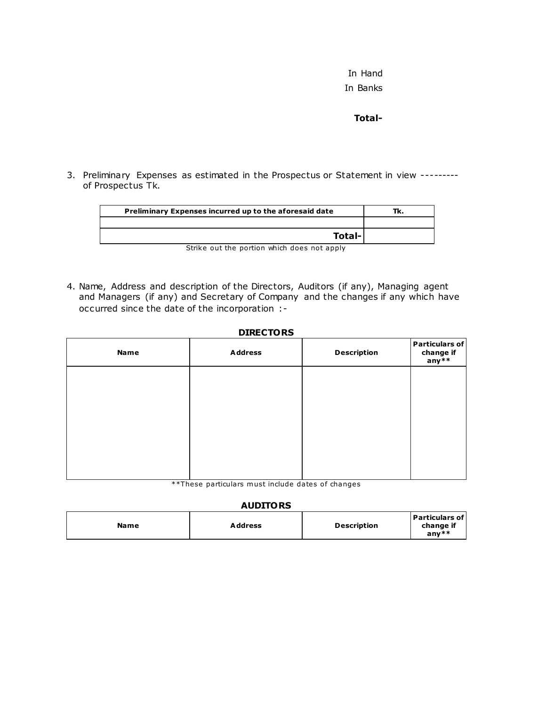In Hand In Banks

**Total-**

3. Preliminary Expenses as estimated in the Prospectus or Statement in view -------- of Prospectus Tk.

| Preliminary Expenses incurred up to the aforesaid date | Tk. |
|--------------------------------------------------------|-----|
|                                                        |     |
| Total-                                                 |     |
| Strike out the portion which does not apply            |     |

4. Name, Address and description of the Directors, Auditors (if any), Managing agent and Managers (if any) and Secretary of Company and the changes if any which have occurred since the date of the incorporation :-

#### **DIRECTORS**

| <b>Name</b> | <b>Address</b> | <b>Description</b> | Particulars of<br>change if<br>any** |
|-------------|----------------|--------------------|--------------------------------------|
|             |                |                    |                                      |
|             |                |                    |                                      |
|             |                |                    |                                      |
|             |                |                    |                                      |

\*\*These particulars must include dates of changes

#### **AUDITORS**

| Address<br><b>Name</b> | <b>Description</b> | <b>Particulars of</b><br>change if<br>anv $**$ |
|------------------------|--------------------|------------------------------------------------|
|------------------------|--------------------|------------------------------------------------|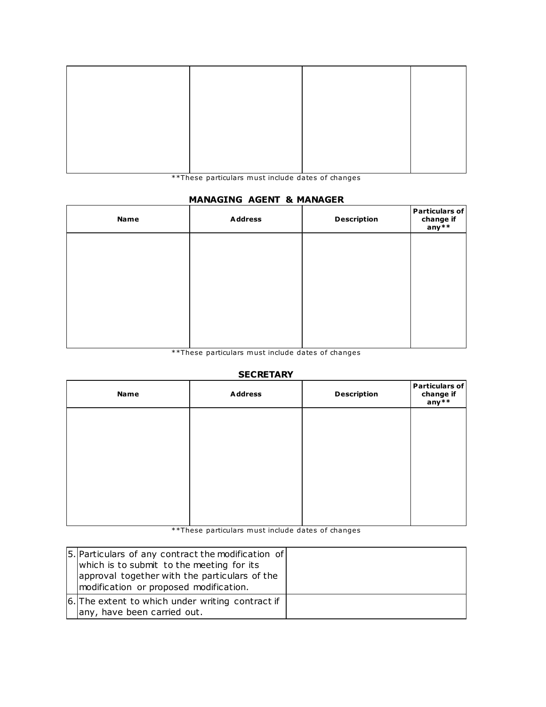\*\*These particulars must include dates of changes

## **MANAGING AGENT & MANAGER**

| <b>Name</b> | <b>Address</b> | <b>Description</b> | Particulars of<br>change if<br>any** |
|-------------|----------------|--------------------|--------------------------------------|
|             |                |                    |                                      |
|             |                |                    |                                      |
|             |                |                    |                                      |
|             |                |                    |                                      |

erriculars must include dates of changes<br>\*\*These particulars must include dates of changes

### **SECRETARY**

| <b>Name</b> | <b>Address</b> | <b>Description</b> | Particulars of<br>change if<br>any** |
|-------------|----------------|--------------------|--------------------------------------|
|             |                |                    |                                      |
|             |                |                    |                                      |
|             |                |                    |                                      |
|             |                |                    |                                      |
|             |                |                    |                                      |

\*\*These particulars must include dates of changes

| [5.] Particulars of any contract the modification of<br>which is to submit to the meeting for its<br>approval together with the particulars of the<br>modification or proposed modification. |  |
|----------------------------------------------------------------------------------------------------------------------------------------------------------------------------------------------|--|
| 6. The extent to which under writing contract if<br>any, have been carried out.                                                                                                              |  |